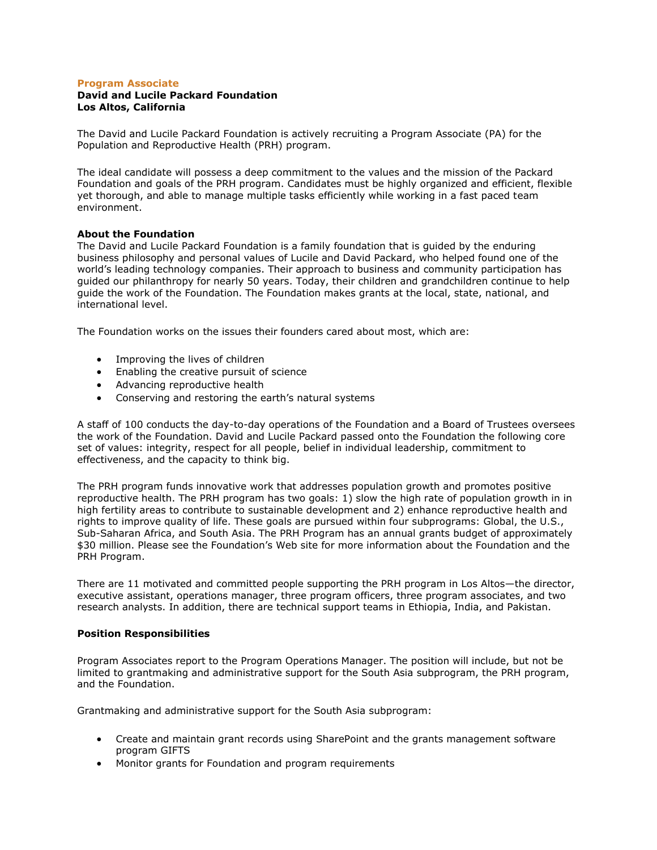### **Program Associate**

# **David and Lucile Packard Foundation Los Altos, California**

The David and Lucile Packard Foundation is actively recruiting a Program Associate (PA) for the Population and Reproductive Health (PRH) program.

The ideal candidate will possess a deep commitment to the values and the mission of the Packard Foundation and goals of the PRH program. Candidates must be highly organized and efficient, flexible yet thorough, and able to manage multiple tasks efficiently while working in a fast paced team environment.

### **About the Foundation**

The David and Lucile Packard Foundation is a family foundation that is guided by the enduring business philosophy and personal values of Lucile and David Packard, who helped found one of the world's leading technology companies. Their approach to business and community participation has guided our philanthropy for nearly 50 years. Today, their children and grandchildren continue to help guide the work of the Foundation. The Foundation makes grants at the local, state, national, and international level.

The Foundation works on the issues their founders cared about most, which are:

- Improving the lives of children
- Enabling the creative pursuit of science
- Advancing reproductive health
- Conserving and restoring the earth's natural systems

A staff of 100 conducts the day-to-day operations of the Foundation and a Board of Trustees oversees the work of the Foundation. David and Lucile Packard passed onto the Foundation the following core set of values: integrity, respect for all people, belief in individual leadership, commitment to effectiveness, and the capacity to think big.

The PRH program funds innovative work that addresses population growth and promotes positive reproductive health. The PRH program has two goals: 1) slow the high rate of population growth in in high fertility areas to contribute to sustainable development and 2) enhance reproductive health and rights to improve quality of life. These goals are pursued within four subprograms: Global, the U.S., Sub-Saharan Africa, and South Asia. The PRH Program has an annual grants budget of approximately \$30 million. Please see the Foundation's Web site for more information about the Foundation and the PRH Program.

There are 11 motivated and committed people supporting the PRH program in Los Altos—the director, executive assistant, operations manager, three program officers, three program associates, and two research analysts. In addition, there are technical support teams in Ethiopia, India, and Pakistan.

#### **Position Responsibilities**

Program Associates report to the Program Operations Manager. The position will include, but not be limited to grantmaking and administrative support for the South Asia subprogram, the PRH program, and the Foundation.

Grantmaking and administrative support for the South Asia subprogram:

- Create and maintain grant records using SharePoint and the grants management software program GIFTS
- Monitor grants for Foundation and program requirements